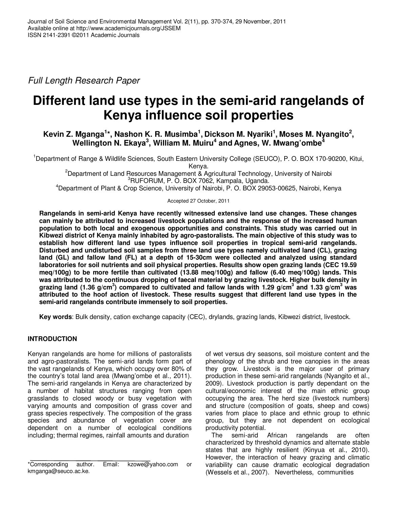Full Length Research Paper

# **Different land use types in the semi-arid rangelands of Kenya influence soil properties**

## **Kevin Z. Mganga<sup>1</sup> \*, Nashon K. R. Musimba<sup>1</sup> , Dickson M. Nyariki<sup>1</sup> , Moses M. Nyangito<sup>2</sup> , Wellington N. Ekaya<sup>3</sup> , William M. Muiru<sup>4</sup> and Agnes, W. Mwang'ombe<sup>4</sup>**

<sup>1</sup>Department of Range & Wildlife Sciences, South Eastern University College (SEUCO), P. O. BOX 170-90200, Kitui, Kenya.

<sup>2</sup>Department of Land Resources Management & Agricultural Technology, University of Nairobi <sup>3</sup>RUFORUM, P. O. BOX 7062, Kampala, Uganda.

<sup>4</sup>Department of Plant & Crop Science, University of Nairobi, P. O. BOX 29053-00625, Nairobi, Kenya

Accepted 27 October, 2011

**Rangelands in semi-arid Kenya have recently witnessed extensive land use changes. These changes can mainly be attributed to increased livestock populations and the response of the increased human population to both local and exogenous opportunities and constraints. This study was carried out in Kibwezi district of Kenya mainly inhabited by agro-pastoralists. The main objective of this study was to establish how different land use types influence soil properties in tropical semi-arid rangelands. Disturbed and undisturbed soil samples from three land use types namely cultivated land (CL), grazing land (GL) and fallow land (FL) at a depth of 15-30cm were collected and analyzed using standard laboratories for soil nutrients and soil physical properties. Results show open grazing lands (CEC 19.59 meq/100g) to be more fertile than cultivated (13.88 meq/100g) and fallow (6.40 meq/100g) lands. This was attributed to the continuous dropping of faecal material by grazing livestock. Higher bulk density in grazing land (1.36 g/cm<sup>3</sup> ) compared to cultivated and fallow lands with 1.29 g/cm<sup>3</sup> and 1.33 g/cm<sup>3</sup> was attributed to the hoof action of livestock. These results suggest that different land use types in the semi-arid rangelands contribute immensely to soil properties.** 

**Key words**: Bulk density, cation exchange capacity (CEC), drylands, grazing lands, Kibwezi district, livestock.

### **INTRODUCTION**

Kenyan rangelands are home for millions of pastoralists and agro-pastoralists. The semi-arid lands form part of the vast rangelands of Kenya, which occupy over 80% of the country's total land area (Mwang'ombe et al., 2011). The semi-arid rangelands in Kenya are characterized by a number of habitat structures ranging from open grasslands to closed woody or busy vegetation with varying amounts and composition of grass cover and grass species respectively. The composition of the grass species and abundance of vegetation cover are dependent on a number of ecological conditions including; thermal regimes, rainfall amounts and duration

of wet versus dry seasons, soil moisture content and the phenology of the shrub and tree canopies in the areas they grow. Livestock is the major user of primary production in these semi-arid rangelands (Nyangito et al., 2009). Livestock production is partly dependant on the cultural/economic interest of the main ethnic group occupying the area. The herd size (livestock numbers) and structure (composition of goats, sheep and cows) varies from place to place and ethnic group to ethnic group, but they are not dependent on ecological productivity potential.

The semi-arid African rangelands are often characterized by threshold dynamics and alternate stable states that are highly resilient (Kinyua et al., 2010). However, the interaction of heavy grazing and climatic variability can cause dramatic ecological degradation (Wessels et al., 2007). Nevertheless, communities

<sup>\*</sup>Corresponding author. Email: kzowe@yahoo.com or kmganga@seuco.ac.ke.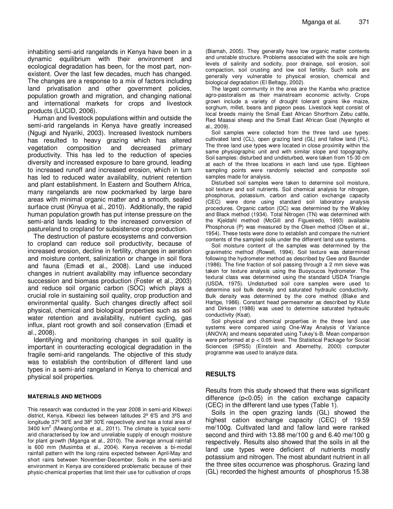inhabiting semi-arid rangelands in Kenya have been in a dynamic equilibrium with their environment and ecological degradation has been, for the most part, nonexistent. Over the last few decades, much has changed. The changes are a response to a mix of factors including land privatisation and other government policies, population growth and migration, and changing national and international markets for crops and livestock products (LUCID, 2006).

Human and livestock populations within and outside the semi-arid rangelands in Kenya have greatly increased (Ngugi and Nyariki, 2003). Increased livestock numbers has resulted to heavy grazing which has altered vegetation composition and decreased primary productivity. This has led to the reduction of species diversity and increased exposure to bare ground, leading to increased runoff and increased erosion, which in turn has led to reduced water availability, nutrient retention and plant establishment. In Eastern and Southern Africa, many rangelands are now pockmarked by large bare areas with minimal organic matter and a smooth, sealed surface crust (Kinyua et al., 2010). Additionally, the rapid human population growth has put intense pressure on the semi-arid lands leading to the increased conversion of pastureland to cropland for subsistence crop production.

The destruction of pasture ecosystems and conversion to cropland can reduce soil productivity, because of increased erosion, decline in fertility, changes in aeration and moisture content, salinization or change in soil flora and fauna (Emadi et al., 2008). Land use induced changes in nutrient availability may influence secondary succession and biomass production (Foster et al., 2003) and reduce soil organic carbon (SOC) which plays a crucial role in sustaining soil quality, crop production and environmental quality. Such changes directly affect soil physical, chemical and biological properties such as soil water retention and availability, nutrient cycling, gas influx, plant root growth and soil conservation (Emadi et al., 2008).

Identifying and monitoring changes in soil quality is important in counteracting ecological degradation in the fragile semi-arid rangelands. The objective of this study was to establish the contribution of different land use types in a semi-arid rangeland in Kenya to chemical and physical soil properties.

#### **MATERIALS AND METHODS**

This research was conducted in the year 2008 in semi-arid Kibwezi district, Kenya. Kibwezi lies between latitudes 2º 6′S and 3ºS and longitude 37º 36′E and 38º 30′E respectively and has a total area of 3400 km<sup>2</sup> (Mwang'ombe et al., 2011). The climate is typical semiarid characterised by low and unreliable supply of enough moisture for plant growth (Mganga et al., 2010). The average annual rainfall is 600 mm (Musimba et al., 2004). Kenya receives a bi-modal rainfall pattern with the long rains expected between April-May and short rains between November-December. Soils in the semi-arid environment in Kenya are considered problematic because of their physic-chemical properties that limit their use for cultivation of crops

(Biamah, 2005). They generally have low organic matter contents and unstable structure. Problems associated with the soils are high levels of salinity and sodicity, poor drainage, soil erosion, soil compaction, soil crusting and low soil fertility. Such soils are generally very vulnerable to physical erosion, chemical and biological degradation (El Beltagy, 2002).

The largest community in the area are the Kamba who practice agro-pastoralism as their mainstream economic activity. Crops grown include a variety of drought tolerant grains like maize, sorghum, millet, beans and pigeon peas. Livestock kept consist of local breeds mainly the Small East African Shorthorn Zebu cattle, Red Maasai sheep and the Small East African Goat (Nyangito et al., 2009).

Soil samples were collected from the three land use types: cultivated land (CL), open grazing land (GL) and fallow land (FL). The three land use types were located in close proximity within the same physiographic unit and with similar slope and topography. Soil samples: disturbed and undisturbed, were taken from 15-30 cm at each of the three locations in each land use type. Eighteen sampling points were randomly selected and composite soil samples made for analysis.

Disturbed soil samples were taken to determine soil moisture, soil texture and soil nutrients. Soil chemical analysis for nitrogen, phosphorus, potassium, carbon and cation exchange capacity (CEC) were done using standard soil laboratory analysis procedures. Organic carbon (OC) was determined by the Walkley and Black method (1934). Total Nitrogen (TN) was determined with the Kjeldahl method (McGill and Figueiredo, 1993) available Phosphorus (P) was measured by the Olsen method (Olsen et al., 1954). These tests were done to establish and compare the nutrient contents of the sampled soils under the different land use systems.

Soil moisture content of the samples was determined by the gravimetric method (Rowell, 1994). Soil texture was determined following the hydrometer method as described by Gee and Baunder (1986). The fine fraction of soil passing through a 2 mm sieve was taken for texture analysis using the Buoyoucos hydrometer. The textural class was determined using the standard USDA Triangle (USDA, 1975). Undisturbed soil core samples were used to determine soil bulk density and saturated hydraulic conductivity. Bulk density was determined by the core method (Blake and Hartge, 1986). Constant head permeameter as described by Klute and Dirksen (1986) was used to determine saturated hydraulic conductivity (Ksat).

Soil physical and chemical properties in the three land use systems were compared using One-Way Analysis of Variance (ANOVA) and means separated using Tukey's-B. Mean comparison were performed at p < 0.05 level. The Statistical Package for Social Sciences (SPSS) (Einstein and Abernethy, 2000) computer programme was used to analyze data.

#### **RESULTS**

Results from this study showed that there was significant difference (p<0.05) in the cation exchange capacity (CEC) in the different land use types (Table 1).

Soils in the open grazing lands (GL) showed the highest cation exchange capacity (CEC) of 19.59 me/100g. Cultivated land and fallow land were ranked second and third with 13.88 me/100 g and 6.40 me/100 g respectively. Results also showed that the soils in all the land use types were deficient of nutrients mostly potassium and nitrogen. The most abundant nutrient in all the three sites occurrence was phosphorus. Grazing land (GL) recorded the highest amounts of phosphorus 15.38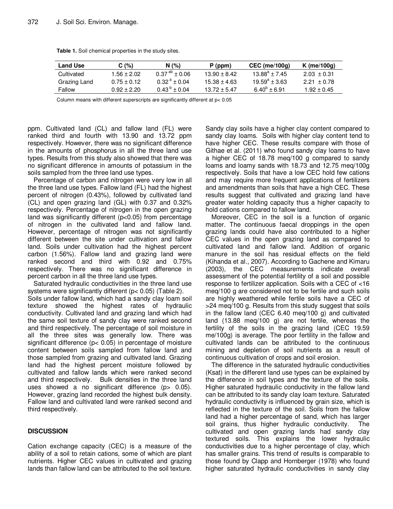| Land Use     | C (%)         | N (%)                    | P (ppm)        | $CEC$ (me/100g)   | K (me/100 $\alpha$ ) |
|--------------|---------------|--------------------------|----------------|-------------------|----------------------|
| Cultivated   | $1.56 + 2.02$ | $0.37^{ab} + 0.06$       | $13.90 + 8.42$ | $13.88^a + 7.45$  | $2.03 + 0.31$        |
| Grazing Land | $0.75 + 0.12$ | $0.32^{\text{a}} + 0.04$ | $15.38 + 4.63$ | $19.59^a + 3.63$  | $2.21 + 0.78$        |
| Fallow       | $0.92 + 2.20$ | $0.43^{b} + 0.04$        | $13.72 + 5.47$ | $6.40^{b} + 6.91$ | $1.92 + 0.45$        |

**Table 1.** Soil chemical properties in the study sites.

Column means with different superscripts are significantly different at p< 0.05

ppm. Cultivated land (CL) and fallow land (FL) were ranked third and fourth with 13.90 and 13.72 ppm respectively. However, there was no significant difference in the amounts of phosphorus in all the three land use types. Results from this study also showed that there was no significant difference in amounts of potassium in the soils sampled from the three land use types.

Percentage of carbon and nitrogen were very low in all the three land use types. Fallow land (FL) had the highest percent of nitrogen (0.43%), followed by cultivated land (CL) and open grazing land (GL) with 0.37 and 0.32% respectively. Percentage of nitrogen in the open grazing land was significantly different (p<0.05) from percentage of nitrogen in the cultivated land and fallow land. However, percentage of nitrogen was not significantly different between the site under cultivation and fallow land. Soils under cultivation had the highest percent carbon (1.56%). Fallow land and grazing land were ranked second and third with 0.92 and 0.75% respectively. There was no significant difference in percent carbon in all the three land use types.

Saturated hydraulic conductivities in the three land use systems were significantly different (p< 0.05) (Table 2).

Soils under fallow land, which had a sandy clay loam soil texture showed the highest rates of hydraulic conductivity. Cultivated land and grazing land which had the same soil texture of sandy clay were ranked second and third respectively. The percentage of soil moisture in all the three sites was generally low. There was significant difference (p< 0.05) in percentage of moisture content between soils sampled from fallow land and those sampled from grazing and cultivated land. Grazing land had the highest percent moisture followed by cultivated and fallow lands which were ranked second and third respectively. Bulk densities in the three land uses showed a no significant difference (p o.05). However, grazing land recorded the highest bulk density. Fallow land and cultivated land were ranked second and third respectively.

### **DISCUSSION**

Cation exchange capacity (CEC) is a measure of the ability of a soil to retain cations, some of which are plant nutrients. Higher CEC values in cultivated and grazing lands than fallow land can be attributed to the soil texture. Sandy clay soils have a higher clay content compared to sandy clay loams. Soils with higher clay content tend to have higher CEC. These results compare with those of Githae et al. (2011) who found sandy clay loams to have a higher CEC of 18.78 meq/100 g compared to sandy loams and loamy sands with 18.73 and 12.75 meq/100g respectively. Soils that have a low CEC hold few cations and may require more frequent applications of fertilizers and amendments than soils that have a high CEC. These results suggest that cultivated and grazing land have greater water holding capacity thus a higher capacity to hold cations compared to fallow land.

Moreover, CEC in the soil is a function of organic matter. The continuous faecal droppings in the open grazing lands could have also contributed to a higher CEC values in the open grazing land as compared to cultivated land and fallow land. Addition of organic manure in the soil has residual effects on the field (Kihanda et al., 2007). According to Gachene and Kimaru (2003), the CEC measurements indicate overall assessment of the potential fertility of a soil and possible response to fertilizer application. Soils with a CEC of <16 meq/100 g are considered not to be fertile and such soils are highly weathered while fertile soils have a CEC of >24 meq/100 g. Results from this study suggest that soils in the fallow land (CEC 6.40 meq/100 g) and cultivated land (13.88 meq/100 g) are not fertile, whereas the fertility of the soils in the grazing land (CEC 19.59 me/100g) is average. The poor fertility in the fallow and cultivated lands can be attributed to the continuous mining and depletion of soil nutrients as a result of continuous cultivation of crops and soil erosion.

The difference in the saturated hydraulic conductivities (Ksat) in the different land use types can be explained by the difference in soil types and the texture of the soils. Higher saturated hydraulic conductivity in the fallow land can be attributed to its sandy clay loam texture. Saturated hydraulic conductivity is influenced by grain size, which is reflected in the texture of the soil. Soils from the fallow land had a higher percentage of sand, which has larger soil grains, thus higher hydraulic conductivity. The cultivated and open grazing lands had sandy clay textured soils. This explains the lower hydraulic conductivities due to a higher percentage of clay, which has smaller grains. This trend of results is comparable to those found by Clapp and Hornberger (1978) who found higher saturated hydraulic conductivities in sandy clay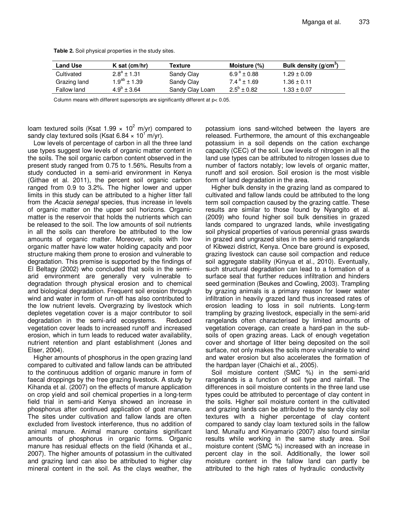| Land Use     | K sat $(cm/hr)$      | Texture         | Moisture (%)              | Bulk density $(g/cm3)$ |
|--------------|----------------------|-----------------|---------------------------|------------------------|
| Cultivated   | $2.8^a \pm 1.31$     | Sandy Clay      | $6.9^{\text{a}} \pm 0.88$ | $1.29 \pm 0.09$        |
| Grazing land | $1.9^{ab}$ ± 1.39    | Sandy Clay      | $7.4^{\text{a}} \pm 1.69$ | $1.36 \pm 0.11$        |
| Fallow land  | $4.9^{\circ}$ ± 3.64 | Sandy Clay Loam | $2.5^{\circ}$ ± 0.82      | $1.33 \pm 0.07$        |

**Table 2.** Soil physical properties in the study sites.

Column means with different superscripts are significantly different at p< 0.05.

loam textured soils (Ksat 1.99  $\times$  10<sup>2</sup> m/yr) compared to sandy clay textured soils (Ksat 6.84  $\times$  10<sup>1</sup> m/yr).

Low levels of percentage of carbon in all the three land use types suggest low levels of organic matter content in the soils. The soil organic carbon content observed in the present study ranged from 0.75 to 1.56%. Results from a study conducted in a semi-arid environment in Kenya (Githae et al. 2011), the percent soil organic carbon ranged from 0.9 to 3.2%. The higher lower and upper limits in this study can be attributed to a higher litter fall from the Acacia senegal species, thus increase in levels of organic matter on the upper soil horizons. Organic matter is the reservoir that holds the nutrients which can be released to the soil. The low amounts of soil nutrients in all the soils can therefore be attributed to the low amounts of organic matter. Moreover, soils with low organic matter have low water holding capacity and poor structure making them prone to erosion and vulnerable to degradation. This premise is supported by the findings of El Beltagy (2002) who concluded that soils in the semiarid environment are generally very vulnerable to degradation through physical erosion and to chemical and biological degradation. Frequent soil erosion through wind and water in form of run-off has also contributed to the low nutrient levels. Overgrazing by livestock which depletes vegetation cover is a major contributor to soil degradation in the semi-arid ecosystems. Reduced vegetation cover leads to increased runoff and increased erosion, which in turn leads to reduced water availability, nutrient retention and plant establishment (Jones and Elser, 2004).

Higher amounts of phosphorus in the open grazing land compared to cultivated and fallow lands can be attributed to the continuous addition of organic manure in form of faecal droppings by the free grazing livestock. A study by Kihanda et al. (2007) on the effects of manure application on crop yield and soil chemical properties in a long-term field trial in semi-arid Kenya showed an increase in phosphorus after continued application of goat manure. The sites under cultivation and fallow lands are often excluded from livestock interference, thus no addition of animal manure. Animal manure contains significant amounts of phosphorus in organic forms. Organic manure has residual effects on the field (Kihanda et al., 2007). The higher amounts of potassium in the cultivated and grazing land can also be attributed to higher clay mineral content in the soil. As the clays weather, the

potassium ions sand-witched between the layers are released. Furthermore, the amount of this exchangeable potassium in a soil depends on the cation exchange capacity (CEC) of the soil. Low levels of nitrogen in all the land use types can be attributed to nitrogen losses due to number of factors notably; low levels of organic matter, runoff and soil erosion. Soil erosion is the most visible form of land degradation in the area.

Higher bulk density in the grazing land as compared to cultivated and fallow lands could be attributed to the long term soil compaction caused by the grazing cattle. These results are similar to those found by Nyangito et al. (2009) who found higher soil bulk densities in grazed lands compared to ungrazed lands, while investigating soil physical properties of various perennial grass swards in grazed and ungrazed sites in the semi-arid rangelands of Kibwezi district, Kenya. Once bare ground is exposed, grazing livestock can cause soil compaction and reduce soil aggregate stability (Kinyua et al., 2010). Eventually, such structural degradation can lead to a formation of a surface seal that further reduces infiltration and hinders seed germination (Beukes and Cowling, 2003). Trampling by grazing animals is a primary reason for lower water infiltration in heavily grazed land thus increased rates of erosion leading to loss in soil nutrients. Long-term trampling by grazing livestock, especially in the semi-arid rangelands often characterised by limited amounts of vegetation coverage, can create a hard-pan in the subsoils of open grazing areas. Lack of enough vegetation cover and shortage of litter being deposited on the soil surface, not only makes the soils more vulnerable to wind and water erosion but also accelerates the formation of the hardpan layer (Chaichi et al., 2005).

Soil moisture content (SMC %) in the semi-arid rangelands is a function of soil type and rainfall. The differences in soil moisture contents in the three land use types could be attributed to percentage of clay content in the soils. Higher soil moisture content in the cultivated and grazing lands can be attributed to the sandy clay soil textures with a higher percentage of clay content compared to sandy clay loam textured soils in the fallow land. Munaifu and Kinyamario (2007) also found similar results while working in the same study area. Soil moisture content (SMC %) increased with an increase in percent clay in the soil. Additionally, the lower soil moisture content in the fallow land can partly be attributed to the high rates of hydraulic conductivity